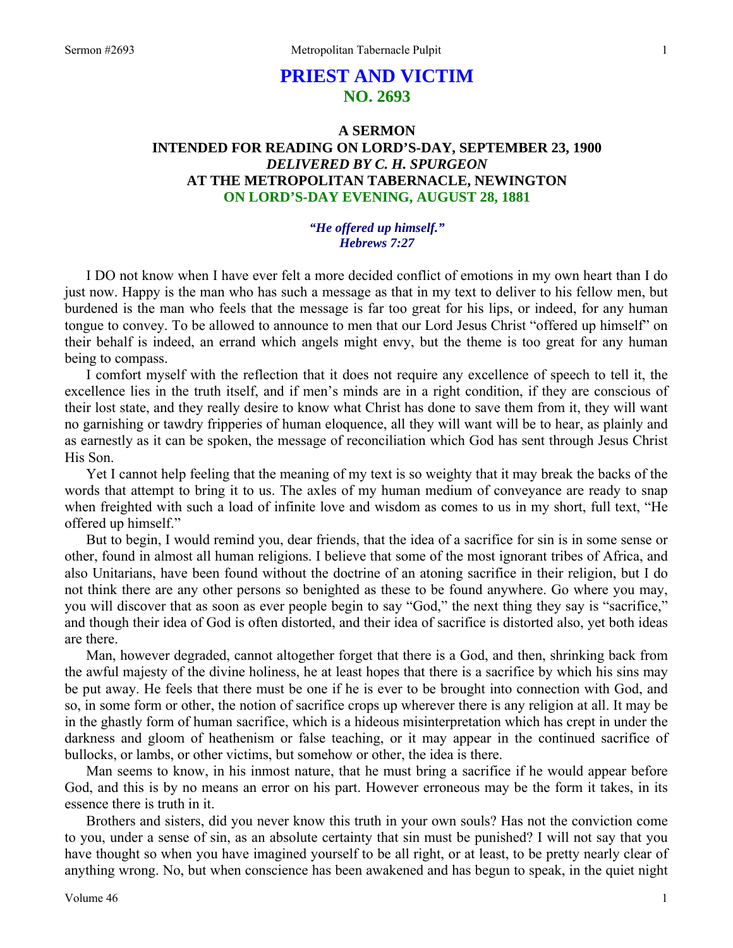# **PRIEST AND VICTIM NO. 2693**

## **A SERMON INTENDED FOR READING ON LORD'S-DAY, SEPTEMBER 23, 1900**  *DELIVERED BY C. H. SPURGEON*  **AT THE METROPOLITAN TABERNACLE, NEWINGTON ON LORD'S-DAY EVENING, AUGUST 28, 1881**

### *"He offered up himself." Hebrews 7:27*

I DO not know when I have ever felt a more decided conflict of emotions in my own heart than I do just now. Happy is the man who has such a message as that in my text to deliver to his fellow men, but burdened is the man who feels that the message is far too great for his lips, or indeed, for any human tongue to convey. To be allowed to announce to men that our Lord Jesus Christ "offered up himself" on their behalf is indeed, an errand which angels might envy, but the theme is too great for any human being to compass.

I comfort myself with the reflection that it does not require any excellence of speech to tell it, the excellence lies in the truth itself, and if men's minds are in a right condition, if they are conscious of their lost state, and they really desire to know what Christ has done to save them from it, they will want no garnishing or tawdry fripperies of human eloquence, all they will want will be to hear, as plainly and as earnestly as it can be spoken, the message of reconciliation which God has sent through Jesus Christ His Son.

Yet I cannot help feeling that the meaning of my text is so weighty that it may break the backs of the words that attempt to bring it to us. The axles of my human medium of conveyance are ready to snap when freighted with such a load of infinite love and wisdom as comes to us in my short, full text, "He offered up himself."

But to begin, I would remind you, dear friends, that the idea of a sacrifice for sin is in some sense or other, found in almost all human religions. I believe that some of the most ignorant tribes of Africa, and also Unitarians, have been found without the doctrine of an atoning sacrifice in their religion, but I do not think there are any other persons so benighted as these to be found anywhere. Go where you may, you will discover that as soon as ever people begin to say "God," the next thing they say is "sacrifice," and though their idea of God is often distorted, and their idea of sacrifice is distorted also, yet both ideas are there.

Man, however degraded, cannot altogether forget that there is a God, and then, shrinking back from the awful majesty of the divine holiness, he at least hopes that there is a sacrifice by which his sins may be put away. He feels that there must be one if he is ever to be brought into connection with God, and so, in some form or other, the notion of sacrifice crops up wherever there is any religion at all. It may be in the ghastly form of human sacrifice, which is a hideous misinterpretation which has crept in under the darkness and gloom of heathenism or false teaching, or it may appear in the continued sacrifice of bullocks, or lambs, or other victims, but somehow or other, the idea is there.

Man seems to know, in his inmost nature, that he must bring a sacrifice if he would appear before God, and this is by no means an error on his part. However erroneous may be the form it takes, in its essence there is truth in it.

Brothers and sisters, did you never know this truth in your own souls? Has not the conviction come to you, under a sense of sin, as an absolute certainty that sin must be punished? I will not say that you have thought so when you have imagined yourself to be all right, or at least, to be pretty nearly clear of anything wrong. No, but when conscience has been awakened and has begun to speak, in the quiet night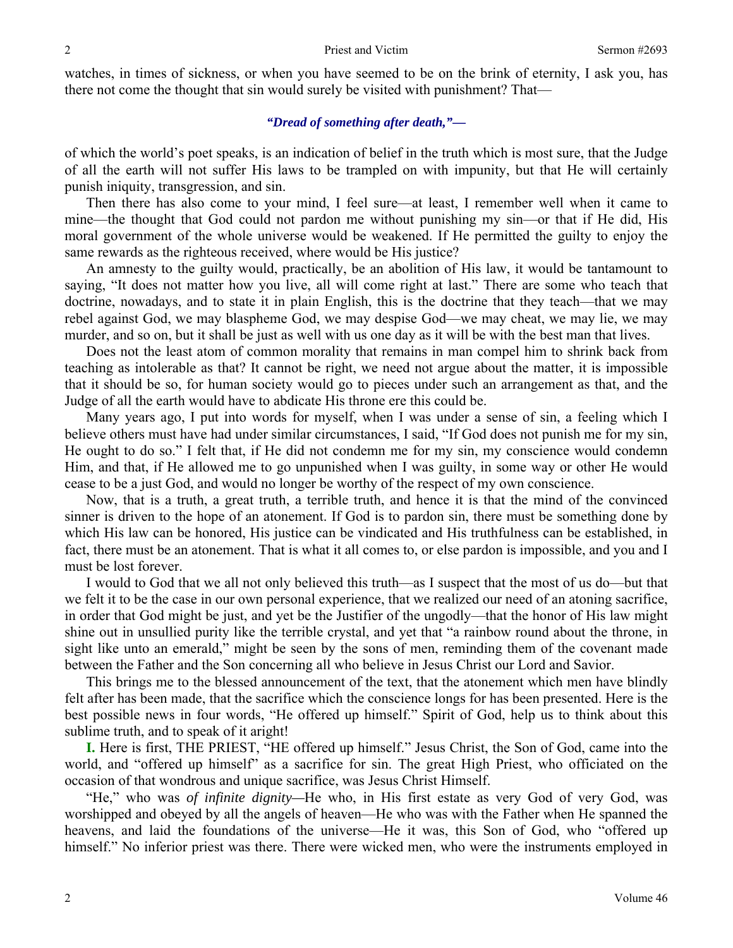watches, in times of sickness, or when you have seemed to be on the brink of eternity, I ask you, has there not come the thought that sin would surely be visited with punishment? That—

## *"Dread of something after death,"—*

of which the world's poet speaks, is an indication of belief in the truth which is most sure, that the Judge of all the earth will not suffer His laws to be trampled on with impunity, but that He will certainly punish iniquity, transgression, and sin.

Then there has also come to your mind, I feel sure—at least, I remember well when it came to mine—the thought that God could not pardon me without punishing my sin—or that if He did, His moral government of the whole universe would be weakened. If He permitted the guilty to enjoy the same rewards as the righteous received, where would be His justice?

An amnesty to the guilty would, practically, be an abolition of His law, it would be tantamount to saying, "It does not matter how you live, all will come right at last." There are some who teach that doctrine, nowadays, and to state it in plain English, this is the doctrine that they teach—that we may rebel against God, we may blaspheme God, we may despise God—we may cheat, we may lie, we may murder, and so on, but it shall be just as well with us one day as it will be with the best man that lives.

Does not the least atom of common morality that remains in man compel him to shrink back from teaching as intolerable as that? It cannot be right, we need not argue about the matter, it is impossible that it should be so, for human society would go to pieces under such an arrangement as that, and the Judge of all the earth would have to abdicate His throne ere this could be.

Many years ago, I put into words for myself, when I was under a sense of sin, a feeling which I believe others must have had under similar circumstances, I said, "If God does not punish me for my sin, He ought to do so." I felt that, if He did not condemn me for my sin, my conscience would condemn Him, and that, if He allowed me to go unpunished when I was guilty, in some way or other He would cease to be a just God, and would no longer be worthy of the respect of my own conscience.

Now, that is a truth, a great truth, a terrible truth, and hence it is that the mind of the convinced sinner is driven to the hope of an atonement. If God is to pardon sin, there must be something done by which His law can be honored, His justice can be vindicated and His truthfulness can be established, in fact, there must be an atonement. That is what it all comes to, or else pardon is impossible, and you and I must be lost forever.

I would to God that we all not only believed this truth—as I suspect that the most of us do—but that we felt it to be the case in our own personal experience, that we realized our need of an atoning sacrifice, in order that God might be just, and yet be the Justifier of the ungodly—that the honor of His law might shine out in unsullied purity like the terrible crystal, and yet that "a rainbow round about the throne, in sight like unto an emerald," might be seen by the sons of men, reminding them of the covenant made between the Father and the Son concerning all who believe in Jesus Christ our Lord and Savior.

This brings me to the blessed announcement of the text, that the atonement which men have blindly felt after has been made, that the sacrifice which the conscience longs for has been presented. Here is the best possible news in four words, "He offered up himself." Spirit of God, help us to think about this sublime truth, and to speak of it aright!

**I.** Here is first, THE PRIEST, "HE offered up himself." Jesus Christ, the Son of God, came into the world, and "offered up himself" as a sacrifice for sin. The great High Priest, who officiated on the occasion of that wondrous and unique sacrifice, was Jesus Christ Himself.

"He," who was *of infinite dignity—*He who, in His first estate as very God of very God, was worshipped and obeyed by all the angels of heaven—He who was with the Father when He spanned the heavens, and laid the foundations of the universe—He it was, this Son of God, who "offered up himself." No inferior priest was there. There were wicked men, who were the instruments employed in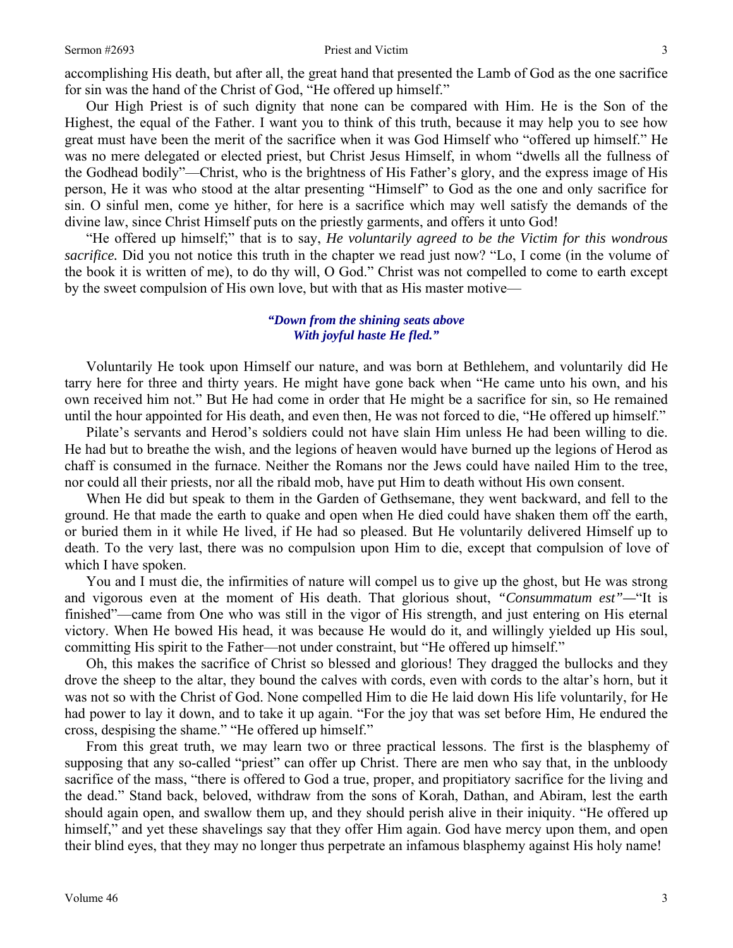#### Sermon #2693 Priest and Victim 3

accomplishing His death, but after all, the great hand that presented the Lamb of God as the one sacrifice for sin was the hand of the Christ of God, "He offered up himself."

Our High Priest is of such dignity that none can be compared with Him. He is the Son of the Highest, the equal of the Father. I want you to think of this truth, because it may help you to see how great must have been the merit of the sacrifice when it was God Himself who "offered up himself." He was no mere delegated or elected priest, but Christ Jesus Himself, in whom "dwells all the fullness of the Godhead bodily"—Christ, who is the brightness of His Father's glory, and the express image of His person, He it was who stood at the altar presenting "Himself" to God as the one and only sacrifice for sin. O sinful men, come ye hither, for here is a sacrifice which may well satisfy the demands of the divine law, since Christ Himself puts on the priestly garments, and offers it unto God!

"He offered up himself;" that is to say, *He voluntarily agreed to be the Victim for this wondrous sacrifice.* Did you not notice this truth in the chapter we read just now? "Lo, I come (in the volume of the book it is written of me), to do thy will, O God." Christ was not compelled to come to earth except by the sweet compulsion of His own love, but with that as His master motive—

## *"Down from the shining seats above With joyful haste He fled."*

Voluntarily He took upon Himself our nature, and was born at Bethlehem, and voluntarily did He tarry here for three and thirty years. He might have gone back when "He came unto his own, and his own received him not." But He had come in order that He might be a sacrifice for sin, so He remained until the hour appointed for His death, and even then, He was not forced to die, "He offered up himself."

Pilate's servants and Herod's soldiers could not have slain Him unless He had been willing to die. He had but to breathe the wish, and the legions of heaven would have burned up the legions of Herod as chaff is consumed in the furnace. Neither the Romans nor the Jews could have nailed Him to the tree, nor could all their priests, nor all the ribald mob, have put Him to death without His own consent.

When He did but speak to them in the Garden of Gethsemane, they went backward, and fell to the ground. He that made the earth to quake and open when He died could have shaken them off the earth, or buried them in it while He lived, if He had so pleased. But He voluntarily delivered Himself up to death. To the very last, there was no compulsion upon Him to die, except that compulsion of love of which I have spoken.

You and I must die, the infirmities of nature will compel us to give up the ghost, but He was strong and vigorous even at the moment of His death. That glorious shout, *"Consummatum est"—*"It is finished"—came from One who was still in the vigor of His strength, and just entering on His eternal victory. When He bowed His head, it was because He would do it, and willingly yielded up His soul, committing His spirit to the Father—not under constraint, but "He offered up himself."

Oh, this makes the sacrifice of Christ so blessed and glorious! They dragged the bullocks and they drove the sheep to the altar, they bound the calves with cords, even with cords to the altar's horn, but it was not so with the Christ of God. None compelled Him to die He laid down His life voluntarily, for He had power to lay it down, and to take it up again. "For the joy that was set before Him, He endured the cross, despising the shame." "He offered up himself."

From this great truth, we may learn two or three practical lessons. The first is the blasphemy of supposing that any so-called "priest" can offer up Christ. There are men who say that, in the unbloody sacrifice of the mass, "there is offered to God a true, proper, and propitiatory sacrifice for the living and the dead." Stand back, beloved, withdraw from the sons of Korah, Dathan, and Abiram, lest the earth should again open, and swallow them up, and they should perish alive in their iniquity. "He offered up himself," and yet these shavelings say that they offer Him again. God have mercy upon them, and open their blind eyes, that they may no longer thus perpetrate an infamous blasphemy against His holy name!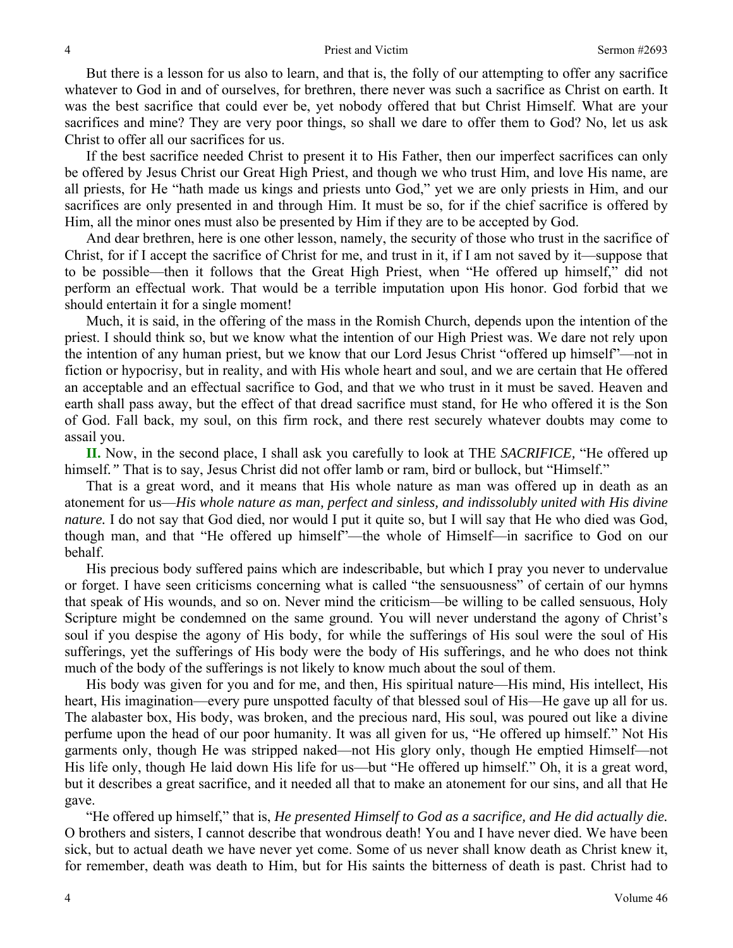But there is a lesson for us also to learn, and that is, the folly of our attempting to offer any sacrifice whatever to God in and of ourselves, for brethren, there never was such a sacrifice as Christ on earth. It was the best sacrifice that could ever be, yet nobody offered that but Christ Himself. What are your sacrifices and mine? They are very poor things, so shall we dare to offer them to God? No, let us ask Christ to offer all our sacrifices for us.

If the best sacrifice needed Christ to present it to His Father, then our imperfect sacrifices can only be offered by Jesus Christ our Great High Priest, and though we who trust Him, and love His name, are all priests, for He "hath made us kings and priests unto God," yet we are only priests in Him, and our sacrifices are only presented in and through Him. It must be so, for if the chief sacrifice is offered by Him, all the minor ones must also be presented by Him if they are to be accepted by God.

And dear brethren, here is one other lesson, namely, the security of those who trust in the sacrifice of Christ, for if I accept the sacrifice of Christ for me, and trust in it, if I am not saved by it—suppose that to be possible—then it follows that the Great High Priest, when "He offered up himself," did not perform an effectual work. That would be a terrible imputation upon His honor. God forbid that we should entertain it for a single moment!

Much, it is said, in the offering of the mass in the Romish Church, depends upon the intention of the priest. I should think so, but we know what the intention of our High Priest was. We dare not rely upon the intention of any human priest, but we know that our Lord Jesus Christ "offered up himself"—not in fiction or hypocrisy, but in reality, and with His whole heart and soul, and we are certain that He offered an acceptable and an effectual sacrifice to God, and that we who trust in it must be saved. Heaven and earth shall pass away, but the effect of that dread sacrifice must stand, for He who offered it is the Son of God. Fall back, my soul, on this firm rock, and there rest securely whatever doubts may come to assail you.

**II.** Now, in the second place, I shall ask you carefully to look at THE *SACRIFICE,* "He offered up himself*."* That is to say, Jesus Christ did not offer lamb or ram, bird or bullock, but "Himself."

That is a great word, and it means that His whole nature as man was offered up in death as an atonement for us—*His whole nature as man, perfect and sinless, and indissolubly united with His divine nature.* I do not say that God died, nor would I put it quite so, but I will say that He who died was God, though man, and that "He offered up himself"—the whole of Himself—in sacrifice to God on our behalf.

His precious body suffered pains which are indescribable, but which I pray you never to undervalue or forget. I have seen criticisms concerning what is called "the sensuousness" of certain of our hymns that speak of His wounds, and so on. Never mind the criticism—be willing to be called sensuous, Holy Scripture might be condemned on the same ground. You will never understand the agony of Christ's soul if you despise the agony of His body, for while the sufferings of His soul were the soul of His sufferings, yet the sufferings of His body were the body of His sufferings, and he who does not think much of the body of the sufferings is not likely to know much about the soul of them.

His body was given for you and for me, and then, His spiritual nature—His mind, His intellect, His heart, His imagination—every pure unspotted faculty of that blessed soul of His—He gave up all for us. The alabaster box, His body, was broken, and the precious nard, His soul, was poured out like a divine perfume upon the head of our poor humanity. It was all given for us, "He offered up himself." Not His garments only, though He was stripped naked—not His glory only, though He emptied Himself—not His life only, though He laid down His life for us—but "He offered up himself." Oh, it is a great word, but it describes a great sacrifice, and it needed all that to make an atonement for our sins, and all that He gave.

"He offered up himself," that is, *He presented Himself to God as a sacrifice, and He did actually die.* O brothers and sisters, I cannot describe that wondrous death! You and I have never died. We have been sick, but to actual death we have never yet come. Some of us never shall know death as Christ knew it, for remember, death was death to Him, but for His saints the bitterness of death is past. Christ had to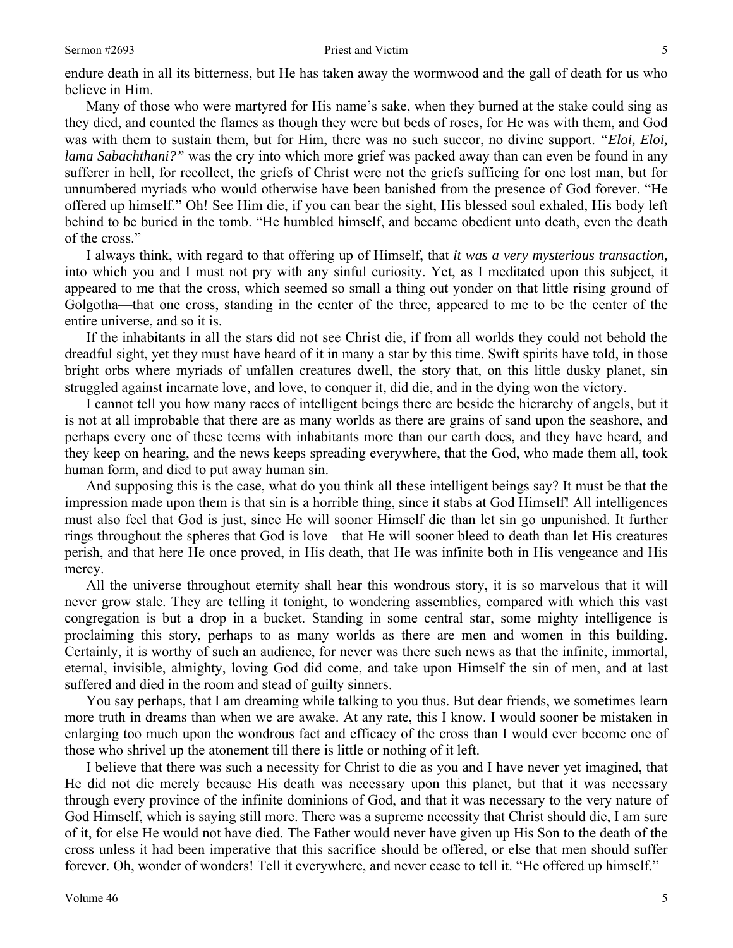#### Sermon #2693 **Priest and Victim** 5

endure death in all its bitterness, but He has taken away the wormwood and the gall of death for us who believe in Him.

Many of those who were martyred for His name's sake, when they burned at the stake could sing as they died, and counted the flames as though they were but beds of roses, for He was with them, and God was with them to sustain them, but for Him, there was no such succor, no divine support. *"Eloi, Eloi, lama Sabachthani?"* was the cry into which more grief was packed away than can even be found in any sufferer in hell, for recollect, the griefs of Christ were not the griefs sufficing for one lost man, but for unnumbered myriads who would otherwise have been banished from the presence of God forever. "He offered up himself." Oh! See Him die, if you can bear the sight, His blessed soul exhaled, His body left behind to be buried in the tomb. "He humbled himself, and became obedient unto death, even the death of the cross."

I always think, with regard to that offering up of Himself, that *it was a very mysterious transaction,* into which you and I must not pry with any sinful curiosity. Yet, as I meditated upon this subject, it appeared to me that the cross, which seemed so small a thing out yonder on that little rising ground of Golgotha—that one cross, standing in the center of the three, appeared to me to be the center of the entire universe, and so it is.

If the inhabitants in all the stars did not see Christ die, if from all worlds they could not behold the dreadful sight, yet they must have heard of it in many a star by this time. Swift spirits have told, in those bright orbs where myriads of unfallen creatures dwell, the story that, on this little dusky planet, sin struggled against incarnate love, and love, to conquer it, did die, and in the dying won the victory.

I cannot tell you how many races of intelligent beings there are beside the hierarchy of angels, but it is not at all improbable that there are as many worlds as there are grains of sand upon the seashore, and perhaps every one of these teems with inhabitants more than our earth does, and they have heard, and they keep on hearing, and the news keeps spreading everywhere, that the God, who made them all, took human form, and died to put away human sin.

And supposing this is the case, what do you think all these intelligent beings say? It must be that the impression made upon them is that sin is a horrible thing, since it stabs at God Himself! All intelligences must also feel that God is just, since He will sooner Himself die than let sin go unpunished. It further rings throughout the spheres that God is love—that He will sooner bleed to death than let His creatures perish, and that here He once proved, in His death, that He was infinite both in His vengeance and His mercy.

All the universe throughout eternity shall hear this wondrous story, it is so marvelous that it will never grow stale. They are telling it tonight, to wondering assemblies, compared with which this vast congregation is but a drop in a bucket. Standing in some central star, some mighty intelligence is proclaiming this story, perhaps to as many worlds as there are men and women in this building. Certainly, it is worthy of such an audience, for never was there such news as that the infinite, immortal, eternal, invisible, almighty, loving God did come, and take upon Himself the sin of men, and at last suffered and died in the room and stead of guilty sinners.

You say perhaps, that I am dreaming while talking to you thus. But dear friends, we sometimes learn more truth in dreams than when we are awake. At any rate, this I know. I would sooner be mistaken in enlarging too much upon the wondrous fact and efficacy of the cross than I would ever become one of those who shrivel up the atonement till there is little or nothing of it left.

I believe that there was such a necessity for Christ to die as you and I have never yet imagined, that He did not die merely because His death was necessary upon this planet, but that it was necessary through every province of the infinite dominions of God, and that it was necessary to the very nature of God Himself, which is saying still more. There was a supreme necessity that Christ should die, I am sure of it, for else He would not have died. The Father would never have given up His Son to the death of the cross unless it had been imperative that this sacrifice should be offered, or else that men should suffer forever. Oh, wonder of wonders! Tell it everywhere, and never cease to tell it. "He offered up himself."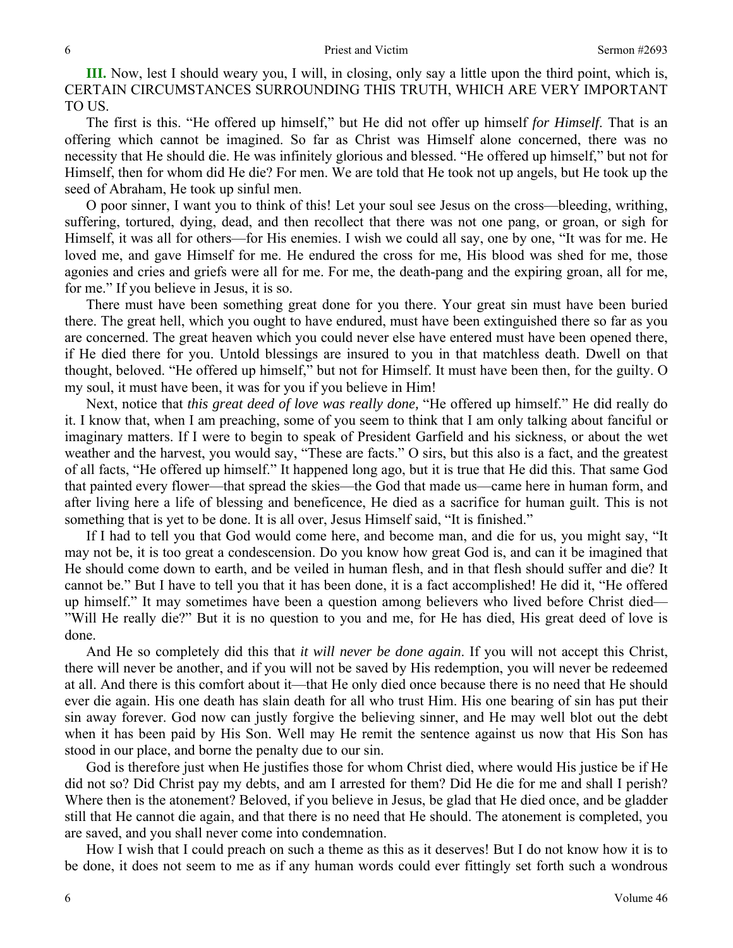**III.** Now, lest I should weary you, I will, in closing, only say a little upon the third point, which is, CERTAIN CIRCUMSTANCES SURROUNDING THIS TRUTH, WHICH ARE VERY IMPORTANT TO US.

The first is this. "He offered up himself," but He did not offer up himself *for Himself*. That is an offering which cannot be imagined. So far as Christ was Himself alone concerned, there was no necessity that He should die. He was infinitely glorious and blessed. "He offered up himself," but not for Himself, then for whom did He die? For men. We are told that He took not up angels, but He took up the seed of Abraham, He took up sinful men.

O poor sinner, I want you to think of this! Let your soul see Jesus on the cross—bleeding, writhing, suffering, tortured, dying, dead, and then recollect that there was not one pang, or groan, or sigh for Himself, it was all for others—for His enemies. I wish we could all say, one by one, "It was for me. He loved me, and gave Himself for me. He endured the cross for me, His blood was shed for me, those agonies and cries and griefs were all for me. For me, the death-pang and the expiring groan, all for me, for me." If you believe in Jesus, it is so.

There must have been something great done for you there. Your great sin must have been buried there. The great hell, which you ought to have endured, must have been extinguished there so far as you are concerned. The great heaven which you could never else have entered must have been opened there, if He died there for you. Untold blessings are insured to you in that matchless death. Dwell on that thought, beloved. "He offered up himself," but not for Himself. It must have been then, for the guilty. O my soul, it must have been, it was for you if you believe in Him!

Next, notice that *this great deed of love was really done,* "He offered up himself." He did really do it. I know that, when I am preaching, some of you seem to think that I am only talking about fanciful or imaginary matters. If I were to begin to speak of President Garfield and his sickness, or about the wet weather and the harvest, you would say, "These are facts." O sirs, but this also is a fact, and the greatest of all facts, "He offered up himself." It happened long ago, but it is true that He did this. That same God that painted every flower—that spread the skies—the God that made us—came here in human form, and after living here a life of blessing and beneficence, He died as a sacrifice for human guilt. This is not something that is yet to be done. It is all over, Jesus Himself said, "It is finished."

If I had to tell you that God would come here, and become man, and die for us, you might say, "It may not be, it is too great a condescension. Do you know how great God is, and can it be imagined that He should come down to earth, and be veiled in human flesh, and in that flesh should suffer and die? It cannot be." But I have to tell you that it has been done, it is a fact accomplished! He did it, "He offered up himself." It may sometimes have been a question among believers who lived before Christ died— "Will He really die?" But it is no question to you and me, for He has died, His great deed of love is done.

And He so completely did this that *it will never be done again*. If you will not accept this Christ, there will never be another, and if you will not be saved by His redemption, you will never be redeemed at all. And there is this comfort about it—that He only died once because there is no need that He should ever die again. His one death has slain death for all who trust Him. His one bearing of sin has put their sin away forever. God now can justly forgive the believing sinner, and He may well blot out the debt when it has been paid by His Son. Well may He remit the sentence against us now that His Son has stood in our place, and borne the penalty due to our sin.

God is therefore just when He justifies those for whom Christ died, where would His justice be if He did not so? Did Christ pay my debts, and am I arrested for them? Did He die for me and shall I perish? Where then is the atonement? Beloved, if you believe in Jesus, be glad that He died once, and be gladder still that He cannot die again, and that there is no need that He should. The atonement is completed, you are saved, and you shall never come into condemnation.

How I wish that I could preach on such a theme as this as it deserves! But I do not know how it is to be done, it does not seem to me as if any human words could ever fittingly set forth such a wondrous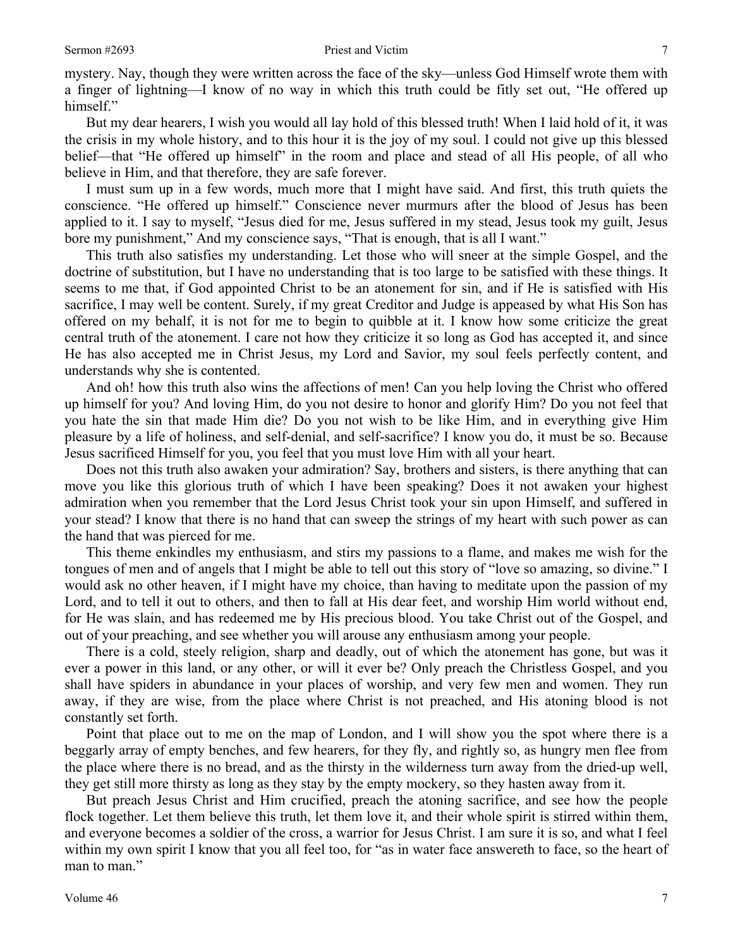mystery. Nay, though they were written across the face of the sky—unless God Himself wrote them with a finger of lightning—I know of no way in which this truth could be fitly set out, "He offered up himself."

But my dear hearers, I wish you would all lay hold of this blessed truth! When I laid hold of it, it was the crisis in my whole history, and to this hour it is the joy of my soul. I could not give up this blessed belief—that "He offered up himself" in the room and place and stead of all His people, of all who believe in Him, and that therefore, they are safe forever.

I must sum up in a few words, much more that I might have said. And first, this truth quiets the conscience. "He offered up himself." Conscience never murmurs after the blood of Jesus has been applied to it. I say to myself, "Jesus died for me, Jesus suffered in my stead, Jesus took my guilt, Jesus bore my punishment," And my conscience says, "That is enough, that is all I want."

This truth also satisfies my understanding. Let those who will sneer at the simple Gospel, and the doctrine of substitution, but I have no understanding that is too large to be satisfied with these things. It seems to me that, if God appointed Christ to be an atonement for sin, and if He is satisfied with His sacrifice, I may well be content. Surely, if my great Creditor and Judge is appeased by what His Son has offered on my behalf, it is not for me to begin to quibble at it. I know how some criticize the great central truth of the atonement. I care not how they criticize it so long as God has accepted it, and since He has also accepted me in Christ Jesus, my Lord and Savior, my soul feels perfectly content, and understands why she is contented.

And oh! how this truth also wins the affections of men! Can you help loving the Christ who offered up himself for you? And loving Him, do you not desire to honor and glorify Him? Do you not feel that you hate the sin that made Him die? Do you not wish to be like Him, and in everything give Him pleasure by a life of holiness, and self-denial, and self-sacrifice? I know you do, it must be so. Because Jesus sacrificed Himself for you, you feel that you must love Him with all your heart.

Does not this truth also awaken your admiration? Say, brothers and sisters, is there anything that can move you like this glorious truth of which I have been speaking? Does it not awaken your highest admiration when you remember that the Lord Jesus Christ took your sin upon Himself, and suffered in your stead? I know that there is no hand that can sweep the strings of my heart with such power as can the hand that was pierced for me.

This theme enkindles my enthusiasm, and stirs my passions to a flame, and makes me wish for the tongues of men and of angels that I might be able to tell out this story of "love so amazing, so divine." I would ask no other heaven, if I might have my choice, than having to meditate upon the passion of my Lord, and to tell it out to others, and then to fall at His dear feet, and worship Him world without end, for He was slain, and has redeemed me by His precious blood. You take Christ out of the Gospel, and out of your preaching, and see whether you will arouse any enthusiasm among your people.

There is a cold, steely religion, sharp and deadly, out of which the atonement has gone, but was it ever a power in this land, or any other, or will it ever be? Only preach the Christless Gospel, and you shall have spiders in abundance in your places of worship, and very few men and women. They run away, if they are wise, from the place where Christ is not preached, and His atoning blood is not constantly set forth.

Point that place out to me on the map of London, and I will show you the spot where there is a beggarly array of empty benches, and few hearers, for they fly, and rightly so, as hungry men flee from the place where there is no bread, and as the thirsty in the wilderness turn away from the dried-up well, they get still more thirsty as long as they stay by the empty mockery, so they hasten away from it.

But preach Jesus Christ and Him crucified, preach the atoning sacrifice, and see how the people flock together. Let them believe this truth, let them love it, and their whole spirit is stirred within them, and everyone becomes a soldier of the cross, a warrior for Jesus Christ. I am sure it is so, and what I feel within my own spirit I know that you all feel too, for "as in water face answereth to face, so the heart of man to man."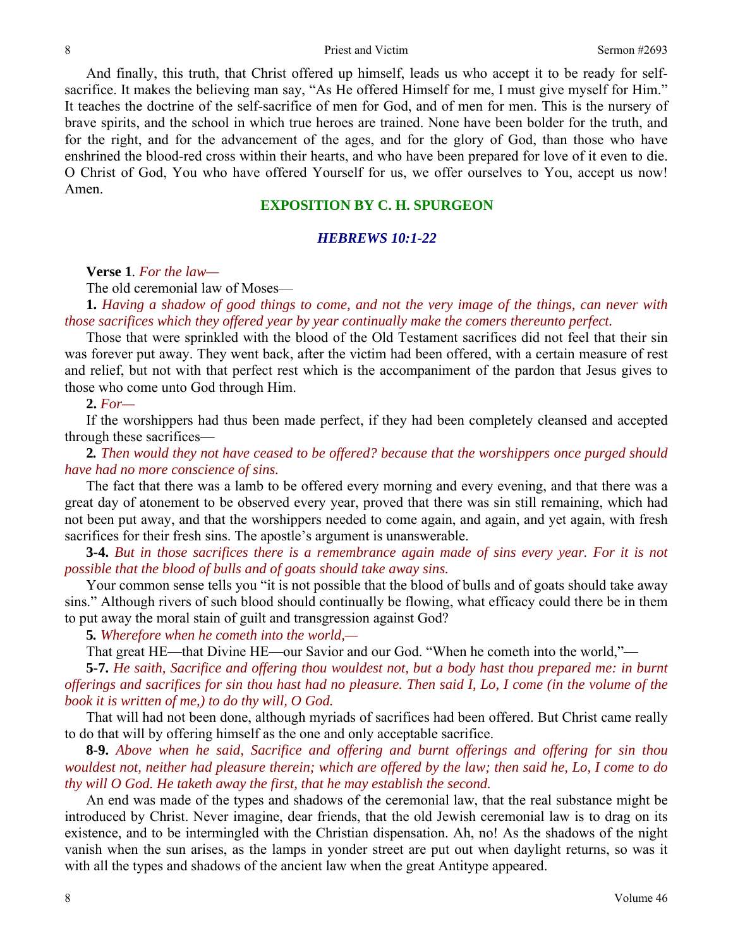And finally, this truth, that Christ offered up himself, leads us who accept it to be ready for selfsacrifice. It makes the believing man say, "As He offered Himself for me, I must give myself for Him." It teaches the doctrine of the self-sacrifice of men for God, and of men for men. This is the nursery of brave spirits, and the school in which true heroes are trained. None have been bolder for the truth, and for the right, and for the advancement of the ages, and for the glory of God, than those who have enshrined the blood-red cross within their hearts, and who have been prepared for love of it even to die. O Christ of God, You who have offered Yourself for us, we offer ourselves to You, accept us now! Amen.

## **EXPOSITION BY C. H. SPURGEON**

## *HEBREWS 10:1-22*

**Verse 1***. For the law—* 

The old ceremonial law of Moses—

**1.** *Having a shadow of good things to come, and not the very image of the things, can never with those sacrifices which they offered year by year continually make the comers thereunto perfect.* 

Those that were sprinkled with the blood of the Old Testament sacrifices did not feel that their sin was forever put away. They went back, after the victim had been offered, with a certain measure of rest and relief, but not with that perfect rest which is the accompaniment of the pardon that Jesus gives to those who come unto God through Him.

### **2.** *For—*

If the worshippers had thus been made perfect, if they had been completely cleansed and accepted through these sacrifices—

**2***. Then would they not have ceased to be offered? because that the worshippers once purged should have had no more conscience of sins.* 

The fact that there was a lamb to be offered every morning and every evening, and that there was a great day of atonement to be observed every year, proved that there was sin still remaining, which had not been put away, and that the worshippers needed to come again, and again, and yet again, with fresh sacrifices for their fresh sins. The apostle's argument is unanswerable.

**3-4.** *But in those sacrifices there is a remembrance again made of sins every year. For it is not possible that the blood of bulls and of goats should take away sins.* 

Your common sense tells you "it is not possible that the blood of bulls and of goats should take away sins." Although rivers of such blood should continually be flowing, what efficacy could there be in them to put away the moral stain of guilt and transgression against God?

**5***. Wherefore when he cometh into the world,—* 

That great HE—that Divine HE—our Savior and our God. "When he cometh into the world,"—

**5-7.** *He saith, Sacrifice and offering thou wouldest not, but a body hast thou prepared me: in burnt offerings and sacrifices for sin thou hast had no pleasure. Then said I, Lo, I come (in the volume of the book it is written of me,) to do thy will, O God.* 

That will had not been done, although myriads of sacrifices had been offered. But Christ came really to do that will by offering himself as the one and only acceptable sacrifice.

**8-9.** *Above when he said, Sacrifice and offering and burnt offerings and offering for sin thou wouldest not, neither had pleasure therein; which are offered by the law; then said he, Lo, I come to do thy will O God. He taketh away the first, that he may establish the second.* 

An end was made of the types and shadows of the ceremonial law, that the real substance might be introduced by Christ. Never imagine, dear friends, that the old Jewish ceremonial law is to drag on its existence, and to be intermingled with the Christian dispensation. Ah, no! As the shadows of the night vanish when the sun arises, as the lamps in yonder street are put out when daylight returns, so was it with all the types and shadows of the ancient law when the great Antitype appeared.